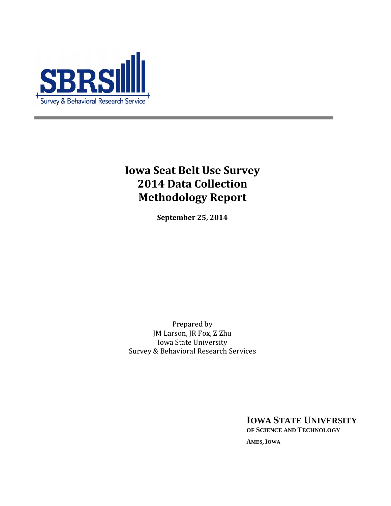

# **Iowa Seat Belt Use Survey 2014 Data Collection Methodology Report**

**September 25, 2014** 

Prepared by JM Larson, JR Fox, Z Zhu Iowa State University Survey & Behavioral Research Services

> **IOWA STATE UNIVERSITY OF SCIENCE AND TECHNOLOGY**

**AMES, IOWA**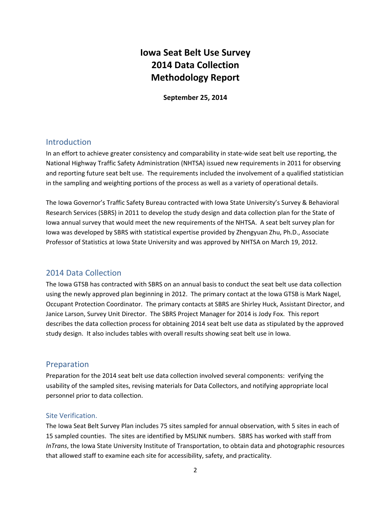## **Iowa Seat Belt Use Survey 2014 Data Collection Methodology Report**

**September 25, 2014** 

## Introduction

In an effort to achieve greater consistency and comparability in state-wide seat belt use reporting, the National Highway Traffic Safety Administration (NHTSA) issued new requirements in 2011 for observing and reporting future seat belt use. The requirements included the involvement of a qualified statistician in the sampling and weighting portions of the process as well as a variety of operational details.

The Iowa Governor's Traffic Safety Bureau contracted with Iowa State University's Survey & Behavioral Research Services (SBRS) in 2011 to develop the study design and data collection plan for the State of Iowa annual survey that would meet the new requirements of the NHTSA. A seat belt survey plan for Iowa was developed by SBRS with statistical expertise provided by Zhengyuan Zhu, Ph.D., Associate Professor of Statistics at Iowa State University and was approved by NHTSA on March 19, 2012.

## 2014 Data Collection

The Iowa GTSB has contracted with SBRS on an annual basis to conduct the seat belt use data collection using the newly approved plan beginning in 2012. The primary contact at the Iowa GTSB is Mark Nagel, Occupant Protection Coordinator. The primary contacts at SBRS are Shirley Huck, Assistant Director, and Janice Larson, Survey Unit Director. The SBRS Project Manager for 2014 is Jody Fox. This report describes the data collection process for obtaining 2014 seat belt use data as stipulated by the approved study design. It also includes tables with overall results showing seat belt use in Iowa.

### Preparation

Preparation for the 2014 seat belt use data collection involved several components: verifying the usability of the sampled sites, revising materials for Data Collectors, and notifying appropriate local personnel prior to data collection.

#### Site Verification.

The Iowa Seat Belt Survey Plan includes 75 sites sampled for annual observation, with 5 sites in each of 15 sampled counties. The sites are identified by MSLINK numbers. SBRS has worked with staff from *InTrans*, the Iowa State University Institute of Transportation, to obtain data and photographic resources that allowed staff to examine each site for accessibility, safety, and practicality.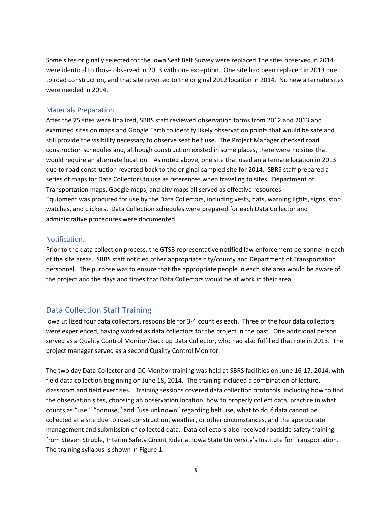Some sites originally selected for the Iowa Seat Belt Survey were replaced The sites observed in 2014 were identical to those observed in 2013 with one exception. One site had been replaced in 2013 due to road construction, and that site reverted to the original 2012 location in 2014. No new alternate sites were needed in 2014.

#### Materials Preparation.

After the 75 sites were finalized, SBRS staff reviewed observation forms from 2012 and 2013 and examined sites on maps and Google Earth to identify likely observation points that would be safe and still provide the visibility necessary to observe seat belt use. The Project Manager checked road construction schedules and, although construction existed in some places, there were no sites that would require an alternate location. As noted above, one site that used an alternate location in 2013 due to road construction reverted back to the original sampled site for 2014. SBRS staff prepared a series of maps for Data Collectors to use as references when traveling to sites. Department of Transportation maps, Google maps, and city maps all served as effective resources. Equipment was procured for use by the Data Collectors, including vests, hats, warning lights, signs, stop watches, and clickers. Data Collection schedules were prepared for each Data Collector and administrative procedures were documented.

#### Notification.

Prior to the data collection process, the GTSB representative notified law enforcement personnel in each of the site areas. SBRS staff notified other appropriate city/county and Department of Transportation personnel. The purpose was to ensure that the appropriate people in each site area would be aware of the project and the days and times that Data Collectors would be at work in their area.

## Data Collection Staff Training

Iowa utilized four data collectors, responsible for 3-4 counties each. Three of the four data collectors were experienced, having worked as data collectors for the project in the past. One additional person served as a Quality Control Monitor/back up Data Collector, who had also fulfilled that role in 2013. The project manager served as a second Quality Control Monitor.

The two day Data Collector and QC Monitor training was held at SBRS facilities on June 16-17, 2014, with field data collection beginning on June 18, 2014. The training included a combination of lecture, classroom and field exercises. Training sessions covered data collection protocols, including how to find the observation sites, choosing an observation location, how to properly collect data, practice in what counts as "use," "nonuse," and "use unknown" regarding belt use, what to do if data cannot be collected at a site due to road construction, weather, or other circumstances, and the appropriate management and submission of collected data. Data collectors also received roadside safety training from Steven Struble, Interim Safety Circuit Rider at Iowa State University's Institute for Transportation. The training syllabus is shown in Figure 1.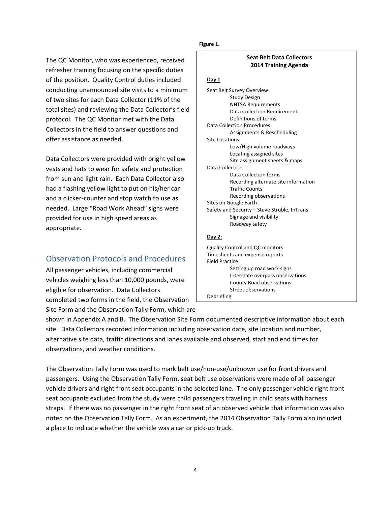The QC Monitor, who was experienced, received refresher training focusing on the specific duties of the position. Quality Control duties included conducting unannounced site visits to a minimum of two sites for each Data Collector (11% of the total sites) and reviewing the Data Collector's field protocol. The QC Monitor met with the Data Collectors in the field to answer questions and offer assistance as needed.

Data Collectors were provided with bright yellow vests and hats to wear for safety and protection from sun and light rain. Each Data Collector also had a flashing yellow light to put on his/her car and a clicker-counter and stop watch to use as needed. Large "Road Work Ahead" signs were provided for use in high speed areas as appropriate.

## Observation Protocols and Procedures

All passenger vehicles, including commercial vehicles weighing less than 10,000 pounds, were eligible for observation. Data Collectors completed two forms in the field, the Observation Site Form and the Observation Tally Form, which are

**Figure 1.** 

#### **Seat Belt Data Collectors 2014 Training Agenda**

#### **Day 1**

Seat Belt Survey Overview Study Design NHTSA Requirements Data Collection Requirements Definitions of terms Data Collection Procedures Assignments & Rescheduling Site Locations Low/High volume roadways Locating assigned sites Site assignment sheets & maps Data Collection Data Collection forms Recording alternate site information Traffic Counts Recording observations Sites on Google Earth Safety and Security – Steve Struble, InTrans Signage and visibility Roadway safety **Day 2:** 

Quality Control and QC monitors Timesheets and expense reports Field Practice Setting up road work signs Interstate overpass observations County Road observations Street observations Debriefing

shown in Appendix A and B. The Observation Site Form documented descriptive information about each site. Data Collectors recorded information including observation date, site location and number, alternative site data, traffic directions and lanes available and observed, start and end times for observations, and weather conditions.

The Observation Tally Form was used to mark belt use/non-use/unknown use for front drivers and passengers. Using the Observation Tally Form, **s**eat belt use observations were made of all passenger vehicle drivers and right front seat occupants in the selected lane. The only passenger vehicle right front seat occupants excluded from the study were child passengers traveling in child seats with harness straps. If there was no passenger in the right front seat of an observed vehicle that information was also noted on the Observation Tally Form. As an experiment, the 2014 Observation Tally Form also included a place to indicate whether the vehicle was a car or pick-up truck.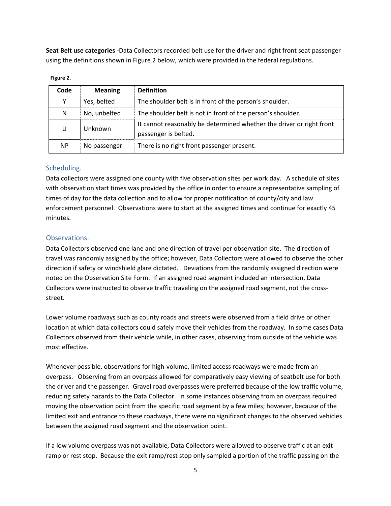**Seat Belt use categories -**Data Collectors recorded belt use for the driver and right front seat passenger using the definitions shown in Figure 2 below, which were provided in the federal regulations.

## **Code Meaning Definition**   $Y = \nvert$  Yes, belted  $\vert$  The shoulder belt is in front of the person's shoulder. N No, unbelted The shoulder belt is not in front of the person's shoulder. U Unknown It cannot reasonably be determined whether the driver or right front passenger is belted. NP No passenger There is no right front passenger present.

#### **Figure 2.**

#### Scheduling.

Data collectors were assigned one county with five observation sites per work day. A schedule of sites with observation start times was provided by the office in order to ensure a representative sampling of times of day for the data collection and to allow for proper notification of county/city and law enforcement personnel. Observations were to start at the assigned times and continue for exactly 45 minutes.

#### Observations.

Data Collectors observed one lane and one direction of travel per observation site. The direction of travel was randomly assigned by the office; however, Data Collectors were allowed to observe the other direction if safety or windshield glare dictated. Deviations from the randomly assigned direction were noted on the Observation Site Form. If an assigned road segment included an intersection, Data Collectors were instructed to observe traffic traveling on the assigned road segment, not the crossstreet.

Lower volume roadways such as county roads and streets were observed from a field drive or other location at which data collectors could safely move their vehicles from the roadway. In some cases Data Collectors observed from their vehicle while, in other cases, observing from outside of the vehicle was most effective.

Whenever possible, observations for high-volume, limited access roadways were made from an overpass. Observing from an overpass allowed for comparatively easy viewing of seatbelt use for both the driver and the passenger. Gravel road overpasses were preferred because of the low traffic volume, reducing safety hazards to the Data Collector. In some instances observing from an overpass required moving the observation point from the specific road segment by a few miles; however, because of the limited exit and entrance to these roadways, there were no significant changes to the observed vehicles between the assigned road segment and the observation point.

If a low volume overpass was not available, Data Collectors were allowed to observe traffic at an exit ramp or rest stop. Because the exit ramp/rest stop only sampled a portion of the traffic passing on the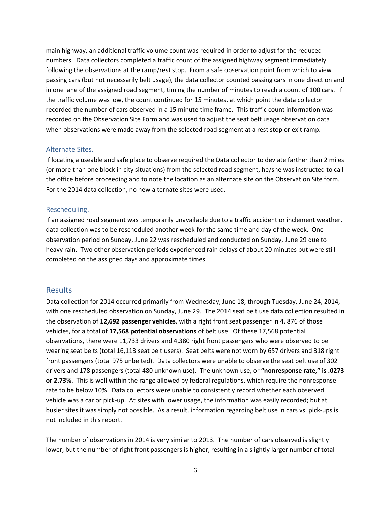main highway, an additional traffic volume count was required in order to adjust for the reduced numbers. Data collectors completed a traffic count of the assigned highway segment immediately following the observations at the ramp/rest stop. From a safe observation point from which to view passing cars (but not necessarily belt usage), the data collector counted passing cars in one direction and in one lane of the assigned road segment, timing the number of minutes to reach a count of 100 cars. If the traffic volume was low, the count continued for 15 minutes, at which point the data collector recorded the number of cars observed in a 15 minute time frame. This traffic count information was recorded on the Observation Site Form and was used to adjust the seat belt usage observation data when observations were made away from the selected road segment at a rest stop or exit ramp.

#### Alternate Sites.

If locating a useable and safe place to observe required the Data collector to deviate farther than 2 miles (or more than one block in city situations) from the selected road segment, he/she was instructed to call the office before proceeding and to note the location as an alternate site on the Observation Site form. For the 2014 data collection, no new alternate sites were used.

#### Rescheduling.

If an assigned road segment was temporarily unavailable due to a traffic accident or inclement weather, data collection was to be rescheduled another week for the same time and day of the week. One observation period on Sunday, June 22 was rescheduled and conducted on Sunday, June 29 due to heavy rain. Two other observation periods experienced rain delays of about 20 minutes but were still completed on the assigned days and approximate times.

#### Results

Data collection for 2014 occurred primarily from Wednesday, June 18, through Tuesday, June 24, 2014, with one rescheduled observation on Sunday, June 29. The 2014 seat belt use data collection resulted in the observation of **12,692 passenger vehicles**, with a right front seat passenger in 4, 876 of those vehicles, for a total of **17,568 potential observations** of belt use. Of these 17,568 potential observations, there were 11,733 drivers and 4,380 right front passengers who were observed to be wearing seat belts (total 16,113 seat belt users). Seat belts were not worn by 657 drivers and 318 right front passengers (total 975 unbelted). Data collectors were unable to observe the seat belt use of 302 drivers and 178 passengers (total 480 unknown use). The unknown use, or **"nonresponse rate," is .0273 or 2.73%**. This is well within the range allowed by federal regulations, which require the nonresponse rate to be below 10%. Data collectors were unable to consistently record whether each observed vehicle was a car or pick-up. At sites with lower usage, the information was easily recorded; but at busier sites it was simply not possible. As a result, information regarding belt use in cars vs. pick-ups is not included in this report.

The number of observations in 2014 is very similar to 2013. The number of cars observed is slightly lower, but the number of right front passengers is higher, resulting in a slightly larger number of total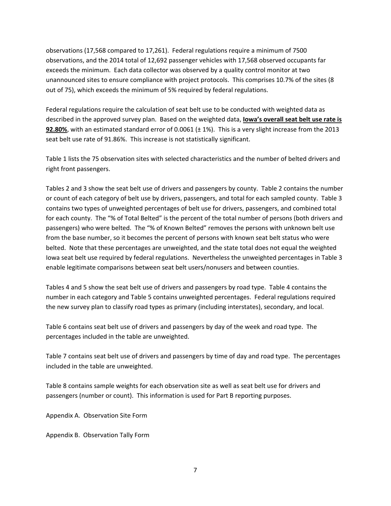observations (17,568 compared to 17,261). Federal regulations require a minimum of 7500 observations, and the 2014 total of 12,692 passenger vehicles with 17,568 observed occupants far exceeds the minimum. Each data collector was observed by a quality control monitor at two unannounced sites to ensure compliance with project protocols. This comprises 10.7% of the sites (8 out of 75), which exceeds the minimum of 5% required by federal regulations.

Federal regulations require the calculation of seat belt use to be conducted with weighted data as described in the approved survey plan. Based on the weighted data, **Iowa's overall seat belt use rate is 92.80%**, with an estimated standard error of 0.0061 (± 1%). This is a very slight increase from the 2013 seat belt use rate of 91.86%. This increase is not statistically significant.

Table 1 lists the 75 observation sites with selected characteristics and the number of belted drivers and right front passengers.

Tables 2 and 3 show the seat belt use of drivers and passengers by county. Table 2 contains the number or count of each category of belt use by drivers, passengers, and total for each sampled county. Table 3 contains two types of unweighted percentages of belt use for drivers, passengers, and combined total for each county. The "% of Total Belted" is the percent of the total number of persons (both drivers and passengers) who were belted. The "% of Known Belted" removes the persons with unknown belt use from the base number, so it becomes the percent of persons with known seat belt status who were belted. Note that these percentages are unweighted, and the state total does not equal the weighted Iowa seat belt use required by federal regulations. Nevertheless the unweighted percentages in Table 3 enable legitimate comparisons between seat belt users/nonusers and between counties.

Tables 4 and 5 show the seat belt use of drivers and passengers by road type. Table 4 contains the number in each category and Table 5 contains unweighted percentages. Federal regulations required the new survey plan to classify road types as primary (including interstates), secondary, and local.

Table 6 contains seat belt use of drivers and passengers by day of the week and road type. The percentages included in the table are unweighted.

Table 7 contains seat belt use of drivers and passengers by time of day and road type. The percentages included in the table are unweighted.

Table 8 contains sample weights for each observation site as well as seat belt use for drivers and passengers (number or count). This information is used for Part B reporting purposes.

Appendix A. Observation Site Form

Appendix B. Observation Tally Form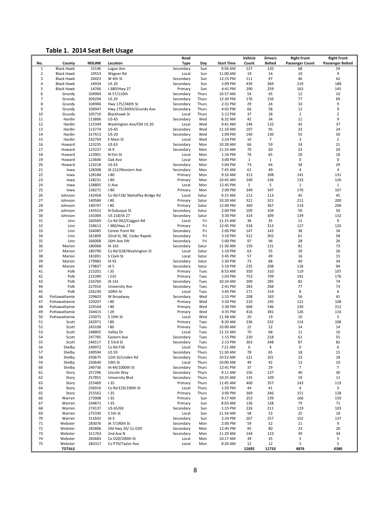## **Table 1. 2014 Seat Belt Usage**

|                     |                                        |                  |                                                 | Road               |                |                      | Vehicle      | <b>Drivers</b> | <b>Right Front</b>     | <b>Right Front</b>      |
|---------------------|----------------------------------------|------------------|-------------------------------------------------|--------------------|----------------|----------------------|--------------|----------------|------------------------|-------------------------|
| No.                 | County                                 | <b>MSLINK</b>    | Location                                        | <b>Type</b>        | Day            | <b>Start Time</b>    | Count        | <b>Belted</b>  | <b>Passenger Count</b> | <b>Passenger Belted</b> |
| $\mathbf{1}$        | <b>Black Hawk</b>                      | 15146            | Logan Ave                                       | Secondary          | Sun            | 9:56 AM              | 127          | 120            | 68                     | 54                      |
| $\overline{2}$<br>3 | <b>Black Hawk</b><br><b>Black Hawk</b> | 19553<br>20423   | Wagner Rd<br>W 4th St                           | Local<br>Secondary | Sun<br>Sun     | 11:00 AM<br>12:15 PM | 19<br>111    | 14<br>97       | 10<br>46               | 9<br>42                 |
| 4                   | <b>Black Hawk</b>                      | 14934            | <b>US 20</b>                                    | Secondary          | Sun            | 2:09 PM              | 439          | 369            | 219                    | 188                     |
| 5                   | <b>Black Hawk</b>                      | 14766            | I-380/Hwy 27                                    | Primary            | Sun            | 4:41 PM              | 290          | 259            | 163                    | 145                     |
| 6                   | Grundy                                 | 104904           | IA 57/110th                                     | Secondary          | Thurs          | 10:57 AM             | 54           | 45             | 12                     | 10                      |
| 7                   | Grundy                                 | 309294           | <b>US 20</b>                                    | Secondary          | Thurs          | 12:30 PM             | 176          | 156            | 77                     | 69                      |
| 8                   | Grundy                                 | 104906           | Hwy 175/240th St                                | Secondary          | Thurs          | 2:31 PM              | 29           | 24             | 10                     | 9                       |
| 9<br>10             | Grundy<br>Grundy                       | 104947<br>105710 | Hwy 175/260th/Grundy Ave<br><b>Blackhawk St</b> | Secondary<br>Local | Thurs<br>Thurs | 4:02 PM<br>5:12 PM   | 66<br>37     | 58<br>28       | 12<br>$\mathbf 2$      | 9<br>$\overline{2}$     |
| 11                  | Hardin                                 | 113806           | <b>US-65</b>                                    | Secondary          | Wed            | 8:32 AM              | 42           | 34             | 11                     | 9                       |
| 12                  | Hardin                                 | 115349           | Washington Ave/Old US 20                        | Local              | Wed            | 9:41 AM              | 146          | 132            | 42                     | 37                      |
| 13                  | Hardin                                 | 113774           | <b>US-65</b>                                    | Secondary          | Wed            | 11:10 AM             | 107          | 95             | 33                     | 24                      |
| 14                  | Hardin                                 | 317413           | $US-20$                                         | Secondary          | Wed            | 1:09 PM              | 140          | 130            | 55                     | 50                      |
| 15                  | Hardin                                 | 332704           | E Main St                                       | Local              | Wed            | 2:24 PM              | 10           | 7              | $\mathsf 3$            | $\overline{2}$          |
| 16                  | Howard                                 | 123235           | <b>US 63</b>                                    | Secondary          | Mon            | 10:28 AM             | 66           | 59             | 24                     | 21                      |
| 17<br>18            | Howard<br>Howard                       | 123337<br>123901 | IA <sub>9</sub><br>N Elm St                     | Secondary<br>Local | Mon<br>Mon     | 11:33 AM<br>1:16 PM  | 70<br>76     | 60<br>65       | 23<br>20               | 20<br>18                |
| 19                  | Howard                                 | 123646           | Oak Ave                                         | Local              | Mon            | 3:00 PM              | $\mathbf{1}$ | $\mathbf{1}$   | 0                      | 0                       |
| 20                  | Howard                                 | 123218           | <b>US 63</b>                                    | Secondary          | Mon            | 5:04 PM              | 73           | 64             | 34                     | 29                      |
| 21                  | lowa                                   | 128308           | IA 212/Western Ave                              | Secondary          | Mon            | 7:45 AM              | 61           | 49             | $\overline{4}$         | 4                       |
| 22                  | lowa                                   | 128184           | $I-80$                                          | Primary            | Mon            | 9:10 AM              | 313          | 308            | 141                    | 131                     |
| 23                  | lowa                                   | 128231           | $I-80$                                          | Primary            | Mon            | 10:45 AM             | 240          | 236            | 133                    | 126                     |
| 24                  | lowa                                   | 128805           | U Ave                                           | Local              | Mon            | 12:45 PM             | 5            | 5              | $\mathbf 1$            | $\mathbf{1}$            |
| 25                  | lowa                                   | 128271           | $I-80$                                          | Primary            | Mon            | 2:00 PM              | 349          | 347            | 176                    | 167                     |
| 26<br>27            | Johnson<br>Johnson                     | 142458<br>140584 | Co Rd F28/ Mehaffey Bridge Rd<br>180            | Local              | Satur<br>Satur | 9:15 AM<br>10:30 AM  | 113<br>321   | 113<br>321     | 45<br>211              | 45<br>200               |
| 28                  | Johnson                                | 140747           | 180                                             | Primary<br>Primary | Satur          | 12:00 PM             | 369          | 367            | 214                    | 208                     |
| 29                  | Johnson                                | 143552           | N Dubuque St                                    | Secondary          | Satur          | 2:00 PM              | 109          | 104            | 50                     | 50                      |
| 30                  | Johnson                                | 141004           | US 218/IA 27                                    | Secondary          | Satur          | 3:30 PM              | 314          | 309            | 139                    | 132                     |
| 31                  | Linn                                   | 160569           | Co Rd D62/Coggon Rd                             | Local              | Fri            | 11:15 AM             | 36           | 35             | 11                     | 9                       |
| 32                  | Linn                                   | 158613           | I 380/Hwy 27                                    | Primary            | Fri            | 12:45 PM             | 318          | 313            | 127                    | 120                     |
| 33                  | Linn                                   | 164085           | Center Point Rd                                 | Secondary          | Fri            | 2:00 PM              | 147          | 143            | 38                     | 34                      |
| 34                  | Linn                                   | 161809           | 32nd St, NE, Cedar Rapids                       | Secondary          | Fri            | 3:10 PM              | 312          | 302            | 61                     | 58                      |
| 35                  | Linn                                   | 166008           | 16th Ave SW                                     | Secondary          | Fri            | 5:00 PM              | 97           | 94             | 28                     | 26                      |
| 36<br>37            | Marion<br>Marion                       | 180068<br>180790 | IA 163<br>Co Rd G28/Washington St               | Secondary<br>Local | Satur<br>Satur | 11:30 AM<br>1:10 PM  | 150<br>63    | 131<br>55      | 81<br>29               | 73<br>26                |
| 38                  | Marion                                 | 181891           | S Clark St                                      | Local              | Satur          | 3:45 PM              | 57           | 49             | 16                     | 15                      |
| 39                  | Marion                                 | 179982           | IA 92                                           | Secondary          | Satur          | 2:30 PM              | 73           | 68             | 40                     | 34                      |
| 40                  | Marion                                 | 179837           | IA <sub>5</sub>                                 | Secondary          | Satur          | 5:10 PM              | 235          | 208            | 118                    | 94                      |
| 41                  | Polk                                   | 215201           | 135                                             | Primary            | Tues           | 8:53 AM              | 350          | 310            | 119                    | 107                     |
| 42                  | Polk                                   | 215390           | <b>1235</b>                                     | Primary            | Tues           | 1:03 PM              | 753          | 709            | 191                    | 176                     |
| 43                  | Polk                                   | 216760           | IA 141                                          | Secondary          | Tues           | 10:24 AM             | 309          | 285            | 82                     | 74                      |
| 44                  | Polk                                   | 227016           | University Ave                                  | Secondary          | Tues           | 2:41 PM              | 283          | 268            | 77                     | 73                      |
| 45<br>46            | Polk<br>Pottawattamie                  | 226230<br>229603 | 109th St<br>W Broadway                          | Local<br>Secondary | Tues<br>Wed    | 3:45 PM<br>1:15 PM   | 171<br>208   | 154<br>183     | $\,$ 8 $\,$<br>56      | 6<br>41                 |
| 47                  | Pottawattamie                          | 229207           | 180                                             | Primary            | Wed            | 5:50 PM              | 210          | 195            | 121                    | 108                     |
| 48                  | Pottawattamie                          | 229164           | 180                                             | Primary            | Wed            | 2:30 PM              | 606          | 546            | 230                    | 212                     |
| 49                  | Pottawattamie                          | 334415           | 129                                             | Primary            | Wed            | 4:35 PM              | 416          | 381            | 126                    | 116                     |
| 50                  | Pottawattamie                          | 233075           | S 10th St                                       | Local              | Wed            | 11:38 AM             | 20           | 19             | 10                     | 5                       |
| 51                  | Scott                                  | 242971           | 180                                             | Primary            | Tues           | 8:30 AM              | 236          | 232            | 114                    | 108                     |
| 52                  | Scott                                  | 243108           | 180                                             | Primary            | Tues           | 10:00 AM             | 22           | 22             | 14                     | 14                      |
| 53                  | Scott                                  | 248805           | Valley Dr                                       | Local              | Tues           | 11:15 AM             | 70           | 68             | 11                     | 10                      |
| 54                  | Scott                                  | 247785           | Eastern Ave                                     | Secondary          | Tues           | 1:15 PM              | 230          | 218            | 61                     | 55                      |
| 55<br>56            | Scott<br>Shelby                        | 246517<br>249972 | E 53rd St<br>Co Rd F58                          | Secondary<br>Local | Tues<br>Thurs  | 2:15 PM<br>7:21 AM   | 363<br>6     | 348<br>4       | 87<br>$\pmb{0}$        | 82<br>0                 |
| 57                  | Shelby                                 | 249594           | <b>US 59</b>                                    | Secondary          | Thurs          | 11:30 AM             | 78           | 65             | 18                     | 15                      |
| 58                  | Shelby                                 | 250675           | 12th St/Linden Rd                               | Secondary          | Thurs          | 10:52 AM             | 121          | 101            | 23                     | 18                      |
| 59                  | Shelby                                 | 250640           | 19th St                                         | Local              | Thurs          | 10:00 AM             | 49           | 42             | 13                     | 10                      |
| 60                  | Shelby                                 | 249736           | IA-44/1000th St                                 | Secondary          | Thurs          | 12:41 PM             | 37           | 29             | $\overline{7}$         | $\overline{7}$          |
| 61                  | Story                                  | 257296           | Lincoln Way                                     | Secondary          | Thurs          | 9:11 AM              | 156          | 137            | 40                     | 30                      |
| 62                  | Story                                  | 257855           | University Blvd                                 | Secondary          | Thurs          | 10:25 AM             | 135          | 109            | 19                     | 11                      |
| 63                  | Story                                  | 255469           | $1 - 35$                                        | Primary            | Thurs          | 11:45 AM             | 400          | 357            | 143                    | 119                     |
| 64<br>65            | Story<br>Story                         | 256910<br>255562 | Co Rd E29/190th St<br>$1 - 35$                  | Local<br>Primary   | Thurs<br>Thurs | 1:50 PM<br>3:00 PM   | 44<br>369    | 41<br>346      | 4<br>151               | 3<br>128                |
| 66                  | Warren                                 | 273908           | $1 - 35$                                        | Primary            | Sun            | 9:17 AM              | 253          | 239            | 166                    | 150                     |
| 67                  | Warren                                 | 334871           | $1 - 35$                                        | Primary            | Sun            | 8:03 AM              | 136          | 128            | 79                     | 71                      |
| 68                  | Warren                                 | 274137           | US 65/69                                        | Secondary          | Sun            | 1:15 PM              | 226          | 211            | 119                    | 103                     |
| 69                  | Warren                                 | 275330           | S 5th St                                        | Local              | Sun            | 11:54 AM             | 58           | 53             | 25                     | 18                      |
| 70                  | Warren                                 | 311642           | $IA-5$                                          | Secondary          | Sun            | 2:24 PM              | 267          | 257            | 152                    | 137                     |
| 71                  | Webster                                | 283076           | IA 7/190th St                                   | Secondary          | Mon            | 2:00 PM              | 59           | 52             | 11                     | 9                       |
| 72                  | Webster                                | 283806           | Old Hwy 20/ Co D20                              | Secondary          | Mon            | 12:45 PM             | 95           | 80             | 23                     | 20                      |
| 73                  | Webster                                | 311763           | 2nd Ave N                                       | Secondary          | Mon            | 11:20 AM             | 144          | 123            | 39                     | 34                      |
| 74<br>75            | Webster<br>Webster                     | 283683<br>283317 | Co D20/200th St<br>Co P70/Taylor Ave            | Local<br>Local     | Mon<br>Mon     | 10:17 AM<br>8:20 AM  | 39<br>12     | 35<br>12       | 5<br>5                 | 5<br>5                  |
|                     | <b>TOTALS</b>                          |                  |                                                 |                    |                |                      | 12692        | 11733          | 4876                   | 4380                    |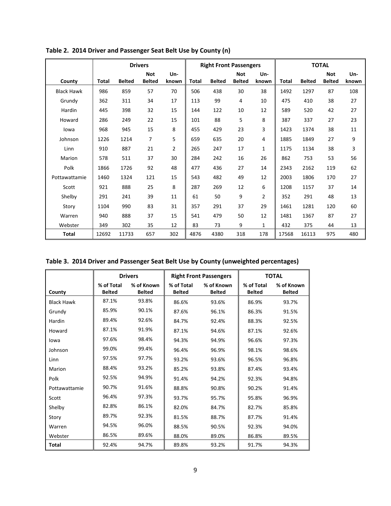|                   |       |               | <b>Drivers</b>              |                |       | <b>Right Front Passengers</b> |                             |                 |       |               | <b>TOTAL</b>                |              |
|-------------------|-------|---------------|-----------------------------|----------------|-------|-------------------------------|-----------------------------|-----------------|-------|---------------|-----------------------------|--------------|
| County            | Total | <b>Belted</b> | <b>Not</b><br><b>Belted</b> | Un-<br>known   | Total | <b>Belted</b>                 | <b>Not</b><br><b>Belted</b> | $Un -$<br>known | Total | <b>Belted</b> | <b>Not</b><br><b>Belted</b> | Un-<br>known |
| <b>Black Hawk</b> | 986   | 859           | 57                          | 70             | 506   | 438                           | 30                          | 38              | 1492  | 1297          | 87                          | 108          |
| Grundy            | 362   | 311           | 34                          | 17             | 113   | 99                            | 4                           | 10              | 475   | 410           | 38                          | 27           |
| Hardin            | 445   | 398           | 32                          | 15             | 144   | 122                           | 10                          | 12              | 589   | 520           | 42                          | 27           |
| Howard            | 286   | 249           | 22                          | 15             | 101   | 88                            | 5                           | 8               | 387   | 337           | 27                          | 23           |
| lowa              | 968   | 945           | 15                          | 8              | 455   | 429                           | 23                          | 3               | 1423  | 1374          | 38                          | 11           |
| Johnson           | 1226  | 1214          | 7                           | 5              | 659   | 635                           | 20                          | 4               | 1885  | 1849          | 27                          | 9            |
| Linn              | 910   | 887           | 21                          | $\overline{2}$ | 265   | 247                           | 17                          | 1               | 1175  | 1134          | 38                          | 3            |
| Marion            | 578   | 511           | 37                          | 30             | 284   | 242                           | 16                          | 26              | 862   | 753           | 53                          | 56           |
| Polk              | 1866  | 1726          | 92                          | 48             | 477   | 436                           | 27                          | 14              | 2343  | 2162          | 119                         | 62           |
| Pottawattamie     | 1460  | 1324          | 121                         | 15             | 543   | 482                           | 49                          | 12              | 2003  | 1806          | 170                         | 27           |
| Scott             | 921   | 888           | 25                          | 8              | 287   | 269                           | 12                          | 6               | 1208  | 1157          | 37                          | 14           |
| Shelby            | 291   | 241           | 39                          | 11             | 61    | 50                            | 9                           | $\overline{2}$  | 352   | 291           | 48                          | 13           |
| Story             | 1104  | 990           | 83                          | 31             | 357   | 291                           | 37                          | 29              | 1461  | 1281          | 120                         | 60           |
| Warren            | 940   | 888           | 37                          | 15             | 541   | 479                           | 50                          | 12              | 1481  | 1367          | 87                          | 27           |
| Webster           | 349   | 302           | 35                          | 12             | 83    | 73                            | 9                           | 1               | 432   | 375           | 44                          | 13           |
| Total             | 12692 | 11733         | 657                         | 302            | 4876  | 4380                          | 318                         | 178             | 17568 | 16113         | 975                         | 480          |

**Table 2. 2014 Driver and Passenger Seat Belt Use by County (n)** 

| Table 3. 2014 Driver and Passenger Seat Belt Use by County (unweighted percentages) |  |
|-------------------------------------------------------------------------------------|--|
|-------------------------------------------------------------------------------------|--|

|                   |               | <b>Drivers</b> |               | <b>Right Front Passengers</b> |               | <b>TOTAL</b>  |
|-------------------|---------------|----------------|---------------|-------------------------------|---------------|---------------|
|                   | % of Total    | % of Known     | % of Total    | % of Known                    | % of Total    | % of Known    |
| County            | <b>Belted</b> | <b>Belted</b>  | <b>Belted</b> | <b>Belted</b>                 | <b>Belted</b> | <b>Belted</b> |
| <b>Black Hawk</b> | 87.1%         | 93.8%          | 86.6%         | 93.6%                         | 86.9%         | 93.7%         |
| Grundy            | 85.9%         | 90.1%          | 87.6%         | 96.1%                         | 86.3%         | 91.5%         |
| Hardin            | 89.4%         | 92.6%          | 84.7%         | 92.4%                         | 88.3%         | 92.5%         |
| Howard            | 87.1%         | 91.9%          | 87.1%         | 94.6%                         | 87.1%         | 92.6%         |
| lowa              | 97.6%         | 98.4%          | 94.3%         | 94.9%                         | 96.6%         | 97.3%         |
| Johnson           | 99.0%         | 99.4%          | 96.4%         | 96.9%                         | 98.1%         | 98.6%         |
| Linn              | 97.5%         | 97.7%          | 93.2%         | 93.6%                         | 96.5%         | 96.8%         |
| Marion            | 88.4%         | 93.2%          | 85.2%         | 93.8%                         | 87.4%         | 93.4%         |
| Polk              | 92.5%         | 94.9%          | 91.4%         | 94.2%                         | 92.3%         | 94.8%         |
| Pottawattamie     | 90.7%         | 91.6%          | 88.8%         | 90.8%                         | 90.2%         | 91.4%         |
| Scott             | 96.4%         | 97.3%          | 93.7%         | 95.7%                         | 95.8%         | 96.9%         |
| Shelby            | 82.8%         | 86.1%          | 82.0%         | 84.7%                         | 82.7%         | 85.8%         |
| Story             | 89.7%         | 92.3%          | 81.5%         | 88.7%                         | 87.7%         | 91.4%         |
| Warren            | 94.5%         | 96.0%          | 88.5%         | 90.5%                         | 92.3%         | 94.0%         |
| Webster           | 86.5%         | 89.6%          | 88.0%         | 89.0%                         | 86.8%         | 89.5%         |
| <b>Total</b>      | 92.4%         | 94.7%          | 89.8%         | 93.2%                         | 91.7%         | 94.3%         |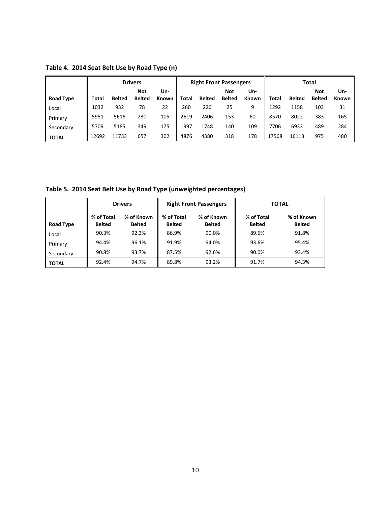|                  |       |               | <b>Drivers</b>       |              |              |               | <b>Right Front Passengers</b> |              |       |               | Total                |                     |
|------------------|-------|---------------|----------------------|--------------|--------------|---------------|-------------------------------|--------------|-------|---------------|----------------------|---------------------|
|                  |       | <b>Belted</b> | Not<br><b>Belted</b> | Un-<br>Known | <b>Total</b> | <b>Belted</b> | Not<br><b>Belted</b>          | Un-<br>Known |       | <b>Belted</b> | Not<br><b>Belted</b> | Un-<br><b>Known</b> |
| <b>Road Type</b> | Total |               |                      |              |              |               |                               |              | Total |               |                      |                     |
| Local            | 1032  | 932           | 78                   | 22           | 260          | 226           | 25                            | 9            | 1292  | 1158          | 103                  | 31                  |
| Primary          | 5951  | 5616          | 230                  | 105          | 2619         | 2406          | 153                           | 60           | 8570  | 8022          | 383                  | 165                 |
| Secondary        | 5709  | 5185          | 349                  | 175          | 1997         | 1748          | 140                           | 109          | 7706  | 6933          | 489                  | 284                 |
| <b>TOTAL</b>     | 12692 | 11733         | 657                  | 302          | 4876         | 4380          | 318                           | 178          | 17568 | 16113         | 975                  | 480                 |

**Table 4. 2014 Seat Belt Use by Road Type (n)** 

**Table 5. 2014 Seat Belt Use by Road Type (unweighted percentages)** 

|              |                             | <b>Drivers</b>              |                             | <b>Right Front Passengers</b> |                             | <b>TOTAL</b>                |
|--------------|-----------------------------|-----------------------------|-----------------------------|-------------------------------|-----------------------------|-----------------------------|
| Road Type    | % of Total<br><b>Belted</b> | % of Known<br><b>Belted</b> | % of Total<br><b>Belted</b> | % of Known<br><b>Belted</b>   | % of Total<br><b>Belted</b> | % of Known<br><b>Belted</b> |
| Local        | 90.3%                       | 92.3%                       | 86.9%                       | 90.0%                         | 89.6%                       | 91.8%                       |
| Primary      | 94.4%                       | 96.1%                       | 91.9%                       | 94.0%                         | 93.6%                       | 95.4%                       |
| Secondary    | 90.8%                       | 93.7%                       | 87.5%                       | 92.6%                         | 90.0%                       | 93.4%                       |
| <b>TOTAL</b> | 92.4%                       | 94.7%                       | 89.8%                       | 93.2%                         | 91.7%                       | 94.3%                       |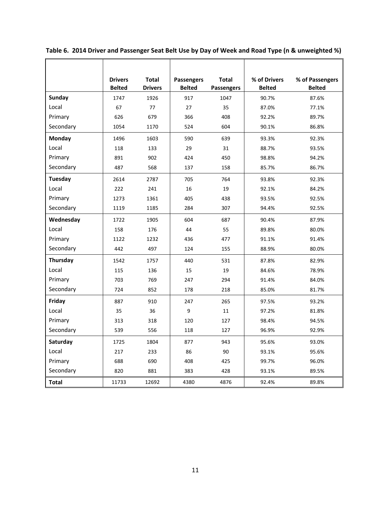|                | <b>Drivers</b><br><b>Belted</b> | <b>Total</b><br><b>Drivers</b> | <b>Passengers</b><br><b>Belted</b> | <b>Total</b><br>Passengers | % of Drivers<br><b>Belted</b> | % of Passengers<br><b>Belted</b> |
|----------------|---------------------------------|--------------------------------|------------------------------------|----------------------------|-------------------------------|----------------------------------|
| <b>Sunday</b>  | 1747                            | 1926                           | 917                                | 1047                       | 90.7%                         | 87.6%                            |
| Local          | 67                              | 77                             | 27                                 | 35                         | 87.0%                         | 77.1%                            |
| Primary        | 626                             | 679                            | 366                                | 408                        | 92.2%                         | 89.7%                            |
| Secondary      | 1054                            | 1170                           | 524                                | 604                        | 90.1%                         | 86.8%                            |
| Monday         | 1496                            | 1603                           | 590                                | 639                        | 93.3%                         | 92.3%                            |
| Local          | 118                             | 133                            | 29                                 | 31                         | 88.7%                         | 93.5%                            |
| Primary        | 891                             | 902                            | 424                                | 450                        | 98.8%                         | 94.2%                            |
| Secondary      | 487                             | 568                            | 137                                | 158                        | 85.7%                         | 86.7%                            |
| <b>Tuesday</b> | 2614                            | 2787                           | 705                                | 764                        | 93.8%                         | 92.3%                            |
| Local          | 222                             | 241                            | 16                                 | 19                         | 92.1%                         | 84.2%                            |
| Primary        | 1273                            | 1361                           | 405                                | 438                        | 93.5%                         | 92.5%                            |
| Secondary      | 1119                            | 1185                           | 284                                | 307                        | 94.4%                         | 92.5%                            |
| Wednesday      | 1722                            | 1905                           | 604                                | 687                        | 90.4%                         | 87.9%                            |
| Local          | 158                             | 176                            | 44                                 | 55                         | 89.8%                         | 80.0%                            |
| Primary        | 1122                            | 1232                           | 436                                | 477                        | 91.1%                         | 91.4%                            |
| Secondary      | 442                             | 497                            | 124                                | 155                        | 88.9%                         | 80.0%                            |
| Thursday       | 1542                            | 1757                           | 440                                | 531                        | 87.8%                         | 82.9%                            |
| Local          | 115                             | 136                            | 15                                 | 19                         | 84.6%                         | 78.9%                            |
| Primary        | 703                             | 769                            | 247                                | 294                        | 91.4%                         | 84.0%                            |
| Secondary      | 724                             | 852                            | 178                                | 218                        | 85.0%                         | 81.7%                            |
| Friday         | 887                             | 910                            | 247                                | 265                        | 97.5%                         | 93.2%                            |
| Local          | 35                              | 36                             | 9                                  | 11                         | 97.2%                         | 81.8%                            |
| Primary        | 313                             | 318                            | 120                                | 127                        | 98.4%                         | 94.5%                            |
| Secondary      | 539                             | 556                            | 118                                | 127                        | 96.9%                         | 92.9%                            |
| Saturday       | 1725                            | 1804                           | 877                                | 943                        | 95.6%                         | 93.0%                            |
| Local          | 217                             | 233                            | 86                                 | 90                         | 93.1%                         | 95.6%                            |
| Primary        | 688                             | 690                            | 408                                | 425                        | 99.7%                         | 96.0%                            |
| Secondary      | 820                             | 881                            | 383                                | 428                        | 93.1%                         | 89.5%                            |
| <b>Total</b>   | 11733                           | 12692                          | 4380                               | 4876                       | 92.4%                         | 89.8%                            |

**Table 6. 2014 Driver and Passenger Seat Belt Use by Day of Week and Road Type (n & unweighted %)**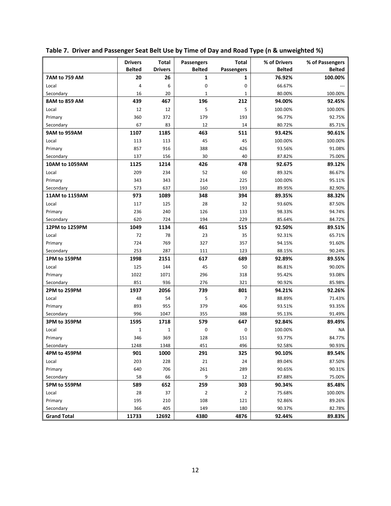|                            | <b>Drivers</b><br><b>Belted</b> | <b>Total</b>         | Passengers       | Total               | % of Drivers            | % of Passengers          |
|----------------------------|---------------------------------|----------------------|------------------|---------------------|-------------------------|--------------------------|
|                            | 20                              | <b>Drivers</b><br>26 | <b>Belted</b>    | Passengers<br>1     | <b>Belted</b><br>76.92% | <b>Belted</b><br>100.00% |
| 7AM to 759 AM              | 4                               | 6                    | 1<br>$\mathbf 0$ |                     |                         |                          |
| Local                      |                                 |                      | $\mathbf{1}$     | 0                   | 66.67%                  |                          |
| Secondary<br>8AM to 859 AM | 16<br>439                       | 20                   | 196              | $\mathbf{1}$<br>212 | 80.00%<br>94.00%        | 100.00%<br>92.45%        |
|                            |                                 | 467                  |                  |                     |                         |                          |
| Local                      | 12                              | 12                   | 5                | 5                   | 100.00%                 | 100.00%                  |
| Primary                    | 360                             | 372                  | 179              | 193                 | 96.77%                  | 92.75%                   |
| Secondary                  | 67                              | 83<br>1185           | 12<br>463        | 14<br>511           | 80.72%<br>93.42%        | 85.71%                   |
| 9AM to 959AM               | 1107                            |                      |                  |                     |                         | 90.61%                   |
| Local                      | 113                             | 113                  | 45               | 45                  | 100.00%                 | 100.00%                  |
| Primary                    | 857                             | 916                  | 388              | 426                 | 93.56%                  | 91.08%                   |
| Secondary                  | 137                             | 156                  | 30               | 40                  | 87.82%                  | 75.00%                   |
| 10AM to 1059AM             | 1125                            | 1214                 | 426              | 478                 | 92.675                  | 89.12%                   |
| Local                      | 209                             | 234                  | 52               | 60                  | 89.32%                  | 86.67%                   |
| Primary                    | 343                             | 343                  | 214              | 225                 | 100.00%                 | 95.11%                   |
| Secondary                  | 573                             | 637                  | 160              | 193                 | 89.95%                  | 82.90%                   |
| 11AM to 1159AM             | 973                             | 1089                 | 348              | 394                 | 89.35%                  | 88.32%                   |
| Local                      | 117                             | 125                  | 28               | 32                  | 93.60%                  | 87.50%                   |
| Primary                    | 236                             | 240                  | 126              | 133                 | 98.33%                  | 94.74%                   |
| Secondary                  | 620                             | 724                  | 194              | 229                 | 85.64%                  | 84.72%                   |
| 12PM to 1259PM             | 1049                            | 1134                 | 461              | 515                 | 92.50%                  | 89.51%                   |
| Local                      | 72                              | 78                   | 23               | 35                  | 92.31%                  | 65.71%                   |
| Primary                    | 724                             | 769                  | 327              | 357                 | 94.15%                  | 91.60%                   |
| Secondary                  | 253                             | 287                  | 111              | 123                 | 88.15%                  | 90.24%                   |
| 1PM to 159PM               | 1998                            | 2151                 | 617              | 689                 | 92.89%                  | 89.55%                   |
| Local                      | 125                             | 144                  | 45               | 50                  | 86.81%                  | 90.00%                   |
| Primary                    | 1022                            | 1071                 | 296              | 318                 | 95.42%                  | 93.08%                   |
| Secondary                  | 851                             | 936                  | 276              | 321                 | 90.92%                  | 85.98%                   |
| 2PM to 259PM               | 1937                            | 2056                 | 739              | 801                 | 94.21%                  | 92.26%                   |
| Local                      | 48                              | 54                   | 5                | $\overline{7}$      | 88.89%                  | 71.43%                   |
| Primary                    | 893                             | 955                  | 379              | 406                 | 93.51%                  | 93.35%                   |
| Secondary                  | 996                             | 1047                 | 355              | 388                 | 95.13%                  | 91.49%                   |
| 3PM to 359PM               | 1595                            | 1718                 | 579              | 647                 | 92.84%                  | 89.49%                   |
| Local                      | $\mathbf{1}$                    | 1                    | $\mathbf 0$      | $\mathbf 0$         | 100.00%                 | ΝA                       |
| Primary                    | 346                             | 369                  | 128              | 151                 | 93.77%                  | 84.77%                   |
| Secondary                  | 1248                            | 1348                 | 451              | 496                 | 92.58%                  | 90.93%                   |
| 4PM to 459PM               | 901                             | 1000                 | 291              | 325                 | 90.10%                  | 89.54%                   |
| Local                      | 203                             | 228                  | 21               | 24                  | 89.04%                  | 87.50%                   |
| Primary                    | 640                             | 706                  | 261              | 289                 | 90.65%                  | 90.31%                   |
| Secondary                  | 58                              | 66                   | 9                | 12                  | 87.88%                  | 75.00%                   |
| 5PM to 559PM               | 589                             | 652                  | 259              | 303                 | 90.34%                  | 85.48%                   |
| Local                      | 28                              | 37                   | 2                | $\overline{2}$      | 75.68%                  | 100.00%                  |
| Primary                    | 195                             | 210                  | 108              | 121                 | 92.86%                  | 89.26%                   |
| Secondary                  | 366                             | 405                  | 149              | 180                 | 90.37%                  | 82.78%                   |
| <b>Grand Total</b>         | 11733                           | 12692                | 4380             | 4876                | 92.44%                  | 89.83%                   |

**Table 7. Driver and Passenger Seat Belt Use by Time of Day and Road Type (n & unweighted %)**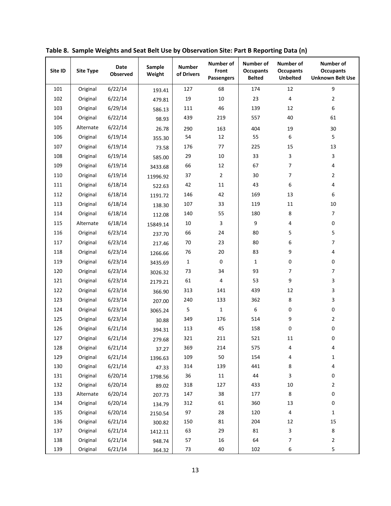| Site ID | <b>Site Type</b> | <b>Date</b><br><b>Observed</b> | Sample<br>Weight | <b>Number</b><br>of Drivers | <b>Number of</b><br>Front<br><b>Passengers</b> | <b>Number of</b><br><b>Occupants</b><br><b>Belted</b> | Number of<br><b>Occupants</b><br><b>Unbelted</b> | Number of<br><b>Occupants</b><br><b>Unknown Belt Use</b> |
|---------|------------------|--------------------------------|------------------|-----------------------------|------------------------------------------------|-------------------------------------------------------|--------------------------------------------------|----------------------------------------------------------|
| 101     | Original         | 6/22/14                        | 193.41           | 127                         | 68                                             | 174                                                   | 12                                               | 9                                                        |
| 102     | Original         | 6/22/14                        | 479.81           | 19                          | $10\,$                                         | 23                                                    | $\pmb{4}$                                        | $\overline{2}$                                           |
| 103     | Original         | 6/29/14                        | 586.13           | 111                         | 46                                             | 139                                                   | 12                                               | 6                                                        |
| 104     | Original         | 6/22/14                        | 98.93            | 439                         | 219                                            | 557                                                   | 40                                               | 61                                                       |
| 105     | Alternate        | 6/22/14                        | 26.78            | 290                         | 163                                            | 404                                                   | 19                                               | 30                                                       |
| 106     | Original         | 6/19/14                        | 355.30           | 54                          | 12                                             | 55                                                    | 6                                                | 5                                                        |
| 107     | Original         | 6/19/14                        | 73.58            | 176                         | 77                                             | 225                                                   | 15                                               | 13                                                       |
| 108     | Original         | 6/19/14                        | 585.00           | 29                          | $10\,$                                         | 33                                                    | 3                                                | 3                                                        |
| 109     | Original         | 6/19/14                        | 3433.68          | 66                          | 12                                             | 67                                                    | 7                                                | 4                                                        |
| 110     | Original         | 6/19/14                        | 11996.92         | 37                          | $\overline{2}$                                 | 30                                                    | 7                                                | $\overline{2}$                                           |
| 111     | Original         | 6/18/14                        | 522.63           | 42                          | 11                                             | 43                                                    | 6                                                | 4                                                        |
| 112     | Original         | 6/18/14                        | 1191.72          | 146                         | 42                                             | 169                                                   | 13                                               | 6                                                        |
| 113     | Original         | 6/18/14                        | 138.30           | 107                         | 33                                             | 119                                                   | 11                                               | 10                                                       |
| 114     | Original         | 6/18/14                        | 112.08           | 140                         | 55                                             | 180                                                   | 8                                                | $\overline{7}$                                           |
| 115     | Alternate        | 6/18/14                        | 15849.14         | 10                          | 3                                              | 9                                                     | 4                                                | 0                                                        |
| 116     | Original         | 6/23/14                        | 237.70           | 66                          | 24                                             | 80                                                    | 5                                                | 5                                                        |
| 117     | Original         | 6/23/14                        | 217.46           | 70                          | 23                                             | 80                                                    | 6                                                | 7                                                        |
| 118     | Original         | 6/23/14                        | 1266.66          | 76                          | 20                                             | 83                                                    | 9                                                | 4                                                        |
| 119     | Original         | 6/23/14                        | 3435.69          | $\mathbf{1}$                | 0                                              | $\mathbf{1}$                                          | 0                                                | 0                                                        |
| 120     | Original         | 6/23/14                        | 3026.32          | 73                          | 34                                             | 93                                                    | $\overline{7}$                                   | $\overline{7}$                                           |
| 121     | Original         | 6/23/14                        | 2179.21          | 61                          | 4                                              | 53                                                    | 9                                                | 3                                                        |
| 122     | Original         | 6/23/14                        | 366.90           | 313                         | 141                                            | 439                                                   | 12                                               | 3                                                        |
| 123     | Original         | 6/23/14                        | 207.00           | 240                         | 133                                            | 362                                                   | 8                                                | 3                                                        |
| 124     | Original         | 6/23/14                        | 3065.24          | 5                           | $\mathbf 1$                                    | 6                                                     | 0                                                | 0                                                        |
| 125     | Original         | 6/23/14                        | 30.88            | 349                         | 176                                            | 514                                                   | 9                                                | $\overline{2}$                                           |
| 126     | Original         | 6/21/14                        | 394.31           | 113                         | 45                                             | 158                                                   | 0                                                | 0                                                        |
| 127     | Original         | 6/21/14                        | 279.68           | 321                         | 211                                            | 521                                                   | 11                                               | 0                                                        |
| 128     | Original         | 6/21/14                        | 37.27            | 369                         | 214                                            | 575                                                   | 4                                                | 4                                                        |
| 129     | Original         | 6/21/14                        | 1396.63          | 109                         | 50                                             | 154                                                   | 4                                                | 1                                                        |
| 130     | Original         | 6/21/14                        | 47.33            | 314                         | 139                                            | 441                                                   | 8                                                | 4                                                        |
| 131     | Original         | 6/20/14                        | 1798.56          | 36                          | $11\,$                                         | 44                                                    | 3                                                | 0                                                        |
| 132     | Original         | 6/20/14                        | 89.02            | 318                         | 127                                            | 433                                                   | 10                                               | $\overline{2}$                                           |
| 133     | Alternate        | 6/20/14                        | 207.73           | 147                         | 38                                             | 177                                                   | $\bf 8$                                          | $\pmb{0}$                                                |
| 134     | Original         | 6/20/14                        | 134.79           | 312                         | 61                                             | 360                                                   | 13                                               | 0                                                        |
| 135     | Original         | 6/20/14                        | 2150.54          | 97                          | 28                                             | 120                                                   | $\overline{\mathbf{4}}$                          | $\mathbf{1}$                                             |
| 136     | Original         | 6/21/14                        | 300.82           | 150                         | 81                                             | 204                                                   | 12                                               | 15                                                       |
| 137     | Original         | 6/21/14                        | 1412.11          | 63                          | 29                                             | 81                                                    | 3                                                | 8                                                        |
| 138     | Original         | 6/21/14                        | 948.74           | 57                          | 16                                             | 64                                                    | $\overline{7}$                                   | $\mathbf{2}$                                             |
| 139     | Original         | 6/21/14                        | 364.32           | 73                          | 40                                             | 102                                                   | 6                                                | 5                                                        |

**Table 8. Sample Weights and Seat Belt Use by Observation Site: Part B Reporting Data (n)**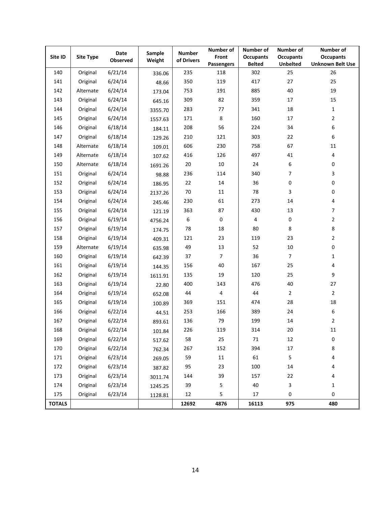| Site ID       | <b>Site Type</b> | <b>Date</b><br>Observed | Sample<br>Weight | <b>Number</b><br>of Drivers | Number of<br>Front      | Number of<br><b>Occupants</b> | Number of<br><b>Occupants</b> | Number of<br><b>Occupants</b> |
|---------------|------------------|-------------------------|------------------|-----------------------------|-------------------------|-------------------------------|-------------------------------|-------------------------------|
|               |                  |                         |                  |                             | Passengers              | <b>Belted</b>                 | <b>Unbelted</b>               | <b>Unknown Belt Use</b>       |
| 140           | Original         | 6/21/14                 | 336.06           | 235                         | 118                     | 302                           | 25                            | 26                            |
| 141           | Original         | 6/24/14                 | 48.66            | 350                         | 119                     | 417                           | 27                            | 25                            |
| 142           | Alternate        | 6/24/14                 | 173.04           | 753                         | 191                     | 885                           | 40                            | 19                            |
| 143           | Original         | 6/24/14                 | 645.16           | 309                         | 82                      | 359                           | 17                            | 15                            |
| 144           | Original         | 6/24/14                 | 3355.70          | 283                         | 77                      | 341                           | 18                            | $\mathbf 1$                   |
| 145           | Original         | 6/24/14                 | 1557.63          | 171                         | $\,8\,$                 | 160                           | 17                            | $\overline{2}$                |
| 146           | Original         | 6/18/14                 | 184.11           | 208                         | 56                      | 224                           | 34                            | 6                             |
| 147           | Original         | 6/18/14                 | 129.26           | 210                         | 121                     | 303                           | 22                            | 6                             |
| 148           | Alternate        | 6/18/14                 | 109.01           | 606                         | 230                     | 758                           | 67                            | 11                            |
| 149           | Alternate        | 6/18/14                 | 107.62           | 416                         | 126                     | 497                           | 41                            | 4                             |
| 150           | Alternate        | 6/18/14                 | 1691.26          | $20\,$                      | $10\,$                  | 24                            | 6                             | 0                             |
| 151           | Original         | 6/24/14                 | 98.88            | 236                         | 114                     | 340                           | 7                             | 3                             |
| 152           | Original         | 6/24/14                 | 186.95           | 22                          | $14\,$                  | 36                            | 0                             | 0                             |
| 153           | Original         | 6/24/14                 | 2137.26          | 70                          | 11                      | 78                            | 3                             | 0                             |
| 154           | Original         | 6/24/14                 | 245.46           | 230                         | 61                      | 273                           | 14                            | 4                             |
| 155           | Original         | 6/24/14                 | 121.19           | 363                         | 87                      | 430                           | 13                            | $\overline{7}$                |
| 156           | Original         | 6/19/14                 | 4756.24          | 6                           | $\pmb{0}$               | 4                             | 0                             | $\overline{2}$                |
| 157           | Original         | 6/19/14                 | 174.75           | 78                          | $18\,$                  | 80                            | 8                             | 8                             |
| 158           | Original         | 6/19/14                 | 409.31           | 121                         | 23                      | 119                           | 23                            | $\overline{2}$                |
| 159           | Alternate        | 6/19/14                 | 635.98           | 49                          | 13                      | 52                            | $10\,$                        | 0                             |
| 160           | Original         | 6/19/14                 | 642.39           | 37                          | $\overline{7}$          | 36                            | $\overline{7}$                | 1                             |
| 161           | Original         | 6/19/14                 | 144.35           | 156                         | 40                      | 167                           | 25                            | 4                             |
| 162           | Original         | 6/19/14                 | 1611.91          | 135                         | 19                      | 120                           | 25                            | 9                             |
| 163           | Original         | 6/19/14                 | 22.80            | 400                         | 143                     | 476                           | 40                            | 27                            |
| 164           | Original         | 6/19/14                 | 652.08           | 44                          | $\overline{\mathbf{4}}$ | 44                            | $\overline{2}$                | $\overline{2}$                |
| 165           | Original         | 6/19/14                 | 100.89           | 369                         | 151                     | 474                           | 28                            | 18                            |
| 166           | Original         | 6/22/14                 | 44.51            | 253                         | 166                     | 389                           | 24                            | 6                             |
| 167           | Original         | 6/22/14                 | 893.61           | 136                         | 79                      | 199                           | 14                            | $\overline{2}$                |
| 168           | Original         | 6/22/14                 | 101.84           | 226                         | 119                     | 314                           | 20                            | 11                            |
| 169           | Original         | 6/22/14                 | 517.62           | 58                          | 25                      | 71                            | 12                            | 0                             |
| 170           | Original         | 6/22/14                 | 762.34           | 267                         | 152                     | 394                           | 17                            | 8                             |
| 171           | Original         | 6/23/14                 | 269.05           | 59                          | 11                      | 61                            | 5                             | 4                             |
| 172           | Original         | 6/23/14                 | 387.82           | 95                          | 23                      | 100                           | $14\,$                        | 4                             |
| 173           | Original         | 6/23/14                 | 3011.74          | 144                         | 39                      | 157                           | 22                            | 4                             |
| 174           | Original         | 6/23/14                 | 1245.25          | 39                          | $\mathsf S$             | 40                            | 3                             | $\mathbf{1}$                  |
| 175           | Original         | 6/23/14                 | 1128.81          | 12                          | 5                       | 17                            | 0                             | 0                             |
| <b>TOTALS</b> |                  |                         |                  | 12692                       | 4876                    | 16113                         | 975                           | 480                           |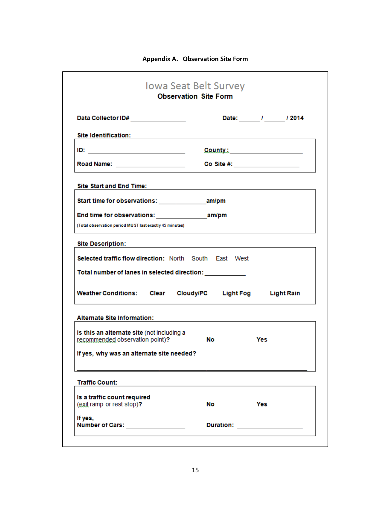| Data Collector ID# ________________                                                                                                                                                                                                | Date: / / / 2014                                                                                                                                                                                                               |
|------------------------------------------------------------------------------------------------------------------------------------------------------------------------------------------------------------------------------------|--------------------------------------------------------------------------------------------------------------------------------------------------------------------------------------------------------------------------------|
| <b>Site Identification:</b>                                                                                                                                                                                                        | the control of the control of the control of the control of the control of                                                                                                                                                     |
| <u>ID: ________________________</u>                                                                                                                                                                                                | County: Example of the County of the County of the County of the County of the County of the County of the County of the County of the County of the County of the County of the County of the County of the County of the Cou |
| Road Name: _____________________                                                                                                                                                                                                   | Co Site #: ___________________                                                                                                                                                                                                 |
| <b>Site Start and End Time:</b>                                                                                                                                                                                                    |                                                                                                                                                                                                                                |
| Start time for observations: The manipm                                                                                                                                                                                            |                                                                                                                                                                                                                                |
|                                                                                                                                                                                                                                    |                                                                                                                                                                                                                                |
| (Total observation period MUST last exactly 45 minutes)                                                                                                                                                                            |                                                                                                                                                                                                                                |
| <b>Site Description:</b>                                                                                                                                                                                                           | the control of the control of the control of the control of the control of                                                                                                                                                     |
| Selected traffic flow direction: North South East West                                                                                                                                                                             |                                                                                                                                                                                                                                |
|                                                                                                                                                                                                                                    |                                                                                                                                                                                                                                |
|                                                                                                                                                                                                                                    |                                                                                                                                                                                                                                |
|                                                                                                                                                                                                                                    |                                                                                                                                                                                                                                |
|                                                                                                                                                                                                                                    | Weather Conditions: Clear Cloudy/PC Light Fog Light Rain                                                                                                                                                                       |
|                                                                                                                                                                                                                                    |                                                                                                                                                                                                                                |
|                                                                                                                                                                                                                                    |                                                                                                                                                                                                                                |
|                                                                                                                                                                                                                                    | No<br>Yes                                                                                                                                                                                                                      |
| Total number of lanes in selected direction: www.community.com<br><b>Alternate Site Information:</b><br>Is this an alternate site (not including a<br>recommended observation point)?<br>If yes, why was an alternate site needed? |                                                                                                                                                                                                                                |
| <b>Traffic Count:</b>                                                                                                                                                                                                              |                                                                                                                                                                                                                                |
|                                                                                                                                                                                                                                    |                                                                                                                                                                                                                                |
| Is a traffic count required<br>(exit ramp or rest stop)?                                                                                                                                                                           | No<br>Yes                                                                                                                                                                                                                      |
| If yes,<br>Number of Cars: __________________                                                                                                                                                                                      | Duration: 2008 2012 2022 2023                                                                                                                                                                                                  |